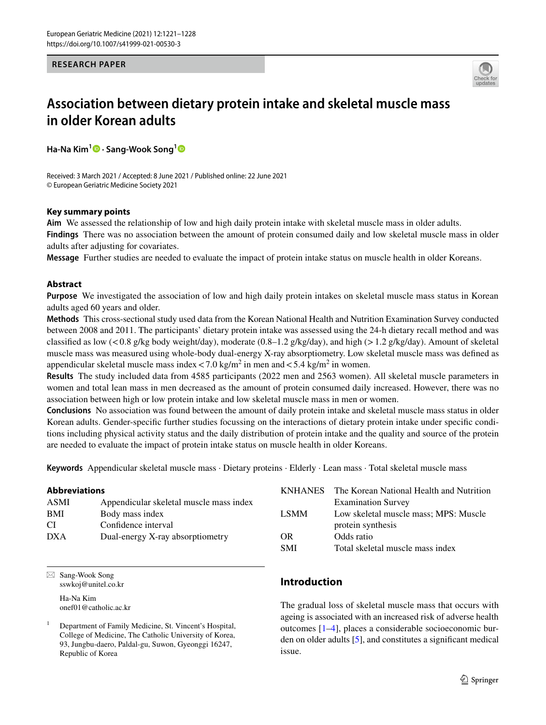**RESEARCH PAPER**



# **Association between dietary protein intake and skeletal muscle mass in older Korean adults**

**Ha‑Na Kim<sup>1</sup> · Sang‑Wook Song[1](http://orcid.org/0000-0001-9087-5019)**

Received: 3 March 2021 / Accepted: 8 June 2021 / Published online: 22 June 2021 © European Geriatric Medicine Society 2021

## **Key summary points**

**Aim** We assessed the relationship of low and high daily protein intake with skeletal muscle mass in older adults. **Findings** There was no association between the amount of protein consumed daily and low skeletal muscle mass in older adults after adjusting for covariates.

**Message** Further studies are needed to evaluate the impact of protein intake status on muscle health in older Koreans.

# **Abstract**

**Purpose** We investigated the association of low and high daily protein intakes on skeletal muscle mass status in Korean adults aged 60 years and older.

**Methods** This cross-sectional study used data from the Korean National Health and Nutrition Examination Survey conducted between 2008 and 2011. The participants' dietary protein intake was assessed using the 24-h dietary recall method and was classified as low (<0.8 g/kg body weight/day), moderate (0.8–1.2 g/kg/day), and high (>1.2 g/kg/day). Amount of skeletal muscle mass was measured using whole-body dual-energy X-ray absorptiometry. Low skeletal muscle mass was defned as appendicular skeletal muscle mass index  $< 7.0 \text{ kg/m}^2$  in men and  $< 5.4 \text{ kg/m}^2$  in women.

**Results** The study included data from 4585 participants (2022 men and 2563 women). All skeletal muscle parameters in women and total lean mass in men decreased as the amount of protein consumed daily increased. However, there was no association between high or low protein intake and low skeletal muscle mass in men or women.

**Conclusions** No association was found between the amount of daily protein intake and skeletal muscle mass status in older Korean adults. Gender-specifc further studies focussing on the interactions of dietary protein intake under specifc conditions including physical activity status and the daily distribution of protein intake and the quality and source of the protein are needed to evaluate the impact of protein intake status on muscle health in older Koreans.

**Keywords** Appendicular skeletal muscle mass · Dietary proteins · Elderly · Lean mass · Total skeletal muscle mass

# **Abbreviations**

| Appendicular skeletal muscle mass index |
|-----------------------------------------|
| Body mass index                         |
| Confidence interval                     |
| Dual-energy X-ray absorptiometry        |
|                                         |

 $\boxtimes$  Sang-Wook Song sswkoj@unitel.co.kr

> Ha-Na Kim onef01@catholic.ac.kr

# **Introduction**

OR Odds ratio

The gradual loss of skeletal muscle mass that occurs with ageing is associated with an increased risk of adverse health outcomes [\[1](#page-6-0)[–4](#page-6-1)], places a considerable socioeconomic burden on older adults [\[5](#page-6-2)], and constitutes a signifcant medical issue.

KNHANES The Korean National Health and Nutrition Examination Survey LSMM Low skeletal muscle mass; MPS: Muscle

protein synthesis

SMI Total skeletal muscle mass index

<sup>1</sup> Department of Family Medicine, St. Vincent's Hospital, College of Medicine, The Catholic University of Korea, 93, Jungbu-daero, Paldal-gu, Suwon, Gyeonggi 16247, Republic of Korea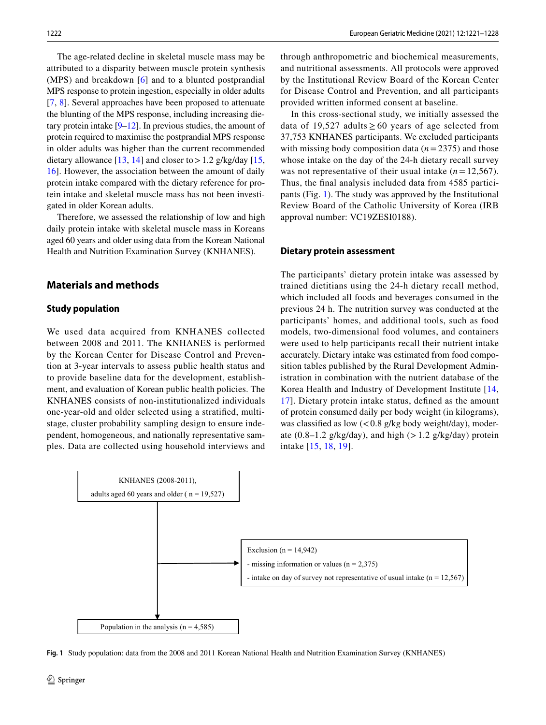The age-related decline in skeletal muscle mass may be attributed to a disparity between muscle protein synthesis (MPS) and breakdown [[6](#page-6-3)] and to a blunted postprandial MPS response to protein ingestion, especially in older adults [\[7](#page-6-4), [8\]](#page-6-5). Several approaches have been proposed to attenuate the blunting of the MPS response, including increasing dietary protein intake  $[9-12]$  $[9-12]$ . In previous studies, the amount of protein required to maximise the postprandial MPS response in older adults was higher than the current recommended dietary allowance  $[13, 14]$  $[13, 14]$  $[13, 14]$  $[13, 14]$  and closer to > 1.2 g/kg/day  $[15, 16]$  $[15, 16]$  $[15, 16]$ [16](#page-6-11)]. However, the association between the amount of daily protein intake compared with the dietary reference for protein intake and skeletal muscle mass has not been investigated in older Korean adults.

Therefore, we assessed the relationship of low and high daily protein intake with skeletal muscle mass in Koreans aged 60 years and older using data from the Korean National Health and Nutrition Examination Survey (KNHANES).

# **Materials and methods**

## **Study population**

We used data acquired from KNHANES collected between 2008 and 2011. The KNHANES is performed by the Korean Center for Disease Control and Prevention at 3-year intervals to assess public health status and to provide baseline data for the development, establishment, and evaluation of Korean public health policies. The KNHANES consists of non-institutionalized individuals one-year-old and older selected using a stratifed, multistage, cluster probability sampling design to ensure independent, homogeneous, and nationally representative samples. Data are collected using household interviews and through anthropometric and biochemical measurements, and nutritional assessments. All protocols were approved by the Institutional Review Board of the Korean Center for Disease Control and Prevention, and all participants provided written informed consent at baseline.

In this cross-sectional study, we initially assessed the data of 19,527 adults  $\geq 60$  years of age selected from 37,753 KNHANES participants. We excluded participants with missing body composition data (*n*=2375) and those whose intake on the day of the 24-h dietary recall survey was not representative of their usual intake (*n*=12,567). Thus, the fnal analysis included data from 4585 participants (Fig. [1\)](#page-1-0). The study was approved by the Institutional Review Board of the Catholic University of Korea (IRB approval number: VC19ZESI0188).

### **Dietary protein assessment**

The participants' dietary protein intake was assessed by trained dietitians using the 24-h dietary recall method, which included all foods and beverages consumed in the previous 24 h. The nutrition survey was conducted at the participants' homes, and additional tools, such as food models, two-dimensional food volumes, and containers were used to help participants recall their nutrient intake accurately. Dietary intake was estimated from food composition tables published by the Rural Development Administration in combination with the nutrient database of the Korea Health and Industry of Development Institute [\[14,](#page-6-9) [17\]](#page-6-12). Dietary protein intake status, defned as the amount of protein consumed daily per body weight (in kilograms), was classified as low  $\left(< 0.8 \frac{\text{g}}{\text{kg}} \right)$  body weight/day), moderate (0.8–1.2 g/kg/day), and high ( $> 1.2$  g/kg/day) protein intake [[15](#page-6-10), [18,](#page-6-13) [19](#page-6-14)].



<span id="page-1-0"></span>**Fig. 1** Study population: data from the 2008 and 2011 Korean National Health and Nutrition Examination Survey (KNHANES)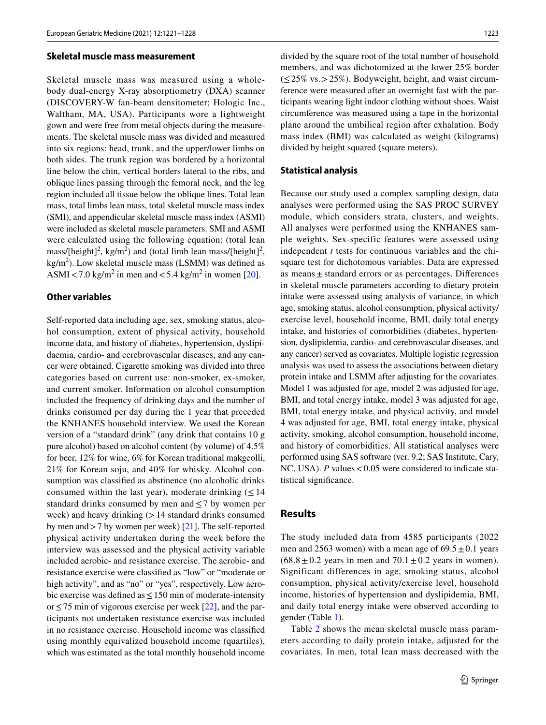#### **Skeletal muscle mass measurement**

Skeletal muscle mass was measured using a wholebody dual-energy X-ray absorptiometry (DXA) scanner (DISCOVERY-W fan-beam densitometer; Hologic Inc., Waltham, MA, USA). Participants wore a lightweight gown and were free from metal objects during the measurements. The skeletal muscle mass was divided and measured into six regions: head, trunk, and the upper/lower limbs on both sides. The trunk region was bordered by a horizontal line below the chin, vertical borders lateral to the ribs, and oblique lines passing through the femoral neck, and the leg region included all tissue below the oblique lines. Total lean mass, total limbs lean mass, total skeletal muscle mass index (SMI), and appendicular skeletal muscle mass index (ASMI) were included as skeletal muscle parameters. SMI and ASMI were calculated using the following equation: (total lean mass/[height]<sup>2</sup>, kg/m<sup>2</sup>) and (total limb lean mass/[height]<sup>2</sup>,  $\text{kg/m}^2$ ). Low skeletal muscle mass (LSMM) was defined as ASMI < 7.0 kg/m<sup>2</sup> in men and < 5.4 kg/m<sup>2</sup> in women [[20\]](#page-6-15).

#### **Other variables**

Self-reported data including age, sex, smoking status, alcohol consumption, extent of physical activity, household income data, and history of diabetes, hypertension, dyslipidaemia, cardio- and cerebrovascular diseases, and any cancer were obtained. Cigarette smoking was divided into three categories based on current use: non-smoker, ex-smoker, and current smoker. Information on alcohol consumption included the frequency of drinking days and the number of drinks consumed per day during the 1 year that preceded the KNHANES household interview. We used the Korean version of a "standard drink" (any drink that contains 10 g pure alcohol) based on alcohol content (by volume) of 4.5% for beer, 12% for wine, 6% for Korean traditional makgeolli, 21% for Korean soju, and 40% for whisky. Alcohol consumption was classifed as abstinence (no alcoholic drinks consumed within the last year), moderate drinking  $(\leq 14)$ standard drinks consumed by men and  $\leq$  7 by women per week) and heavy drinking  $(>14$  standard drinks consumed by men and>7 by women per week) [[21\]](#page-6-16). The self-reported physical activity undertaken during the week before the interview was assessed and the physical activity variable included aerobic- and resistance exercise. The aerobic- and resistance exercise were classifed as "low" or "moderate or high activity", and as "no" or "yes", respectively. Low aerobic exercise was defined as  $\leq 150$  min of moderate-intensity or≤75 min of vigorous exercise per week [[22\]](#page-6-17), and the participants not undertaken resistance exercise was included in no resistance exercise. Household income was classifed using monthly equivalized household income (quartiles), which was estimated as the total monthly household income divided by the square root of the total number of household members, and was dichotomized at the lower 25% border  $(\leq 25\% \text{ vs.} > 25\%).$  Bodyweight, height, and waist circumference were measured after an overnight fast with the participants wearing light indoor clothing without shoes. Waist circumference was measured using a tape in the horizontal plane around the umbilical region after exhalation. Body mass index (BMI) was calculated as weight (kilograms) divided by height squared (square meters).

#### **Statistical analysis**

Because our study used a complex sampling design, data analyses were performed using the SAS PROC SURVEY module, which considers strata, clusters, and weights. All analyses were performed using the KNHANES sample weights. Sex-specific features were assessed using independent *t* tests for continuous variables and the chisquare test for dichotomous variables. Data are expressed as means $\pm$  standard errors or as percentages. Differences in skeletal muscle parameters according to dietary protein intake were assessed using analysis of variance, in which age, smoking status, alcohol consumption, physical activity/ exercise level, household income, BMI, daily total energy intake, and histories of comorbidities (diabetes, hypertension, dyslipidemia, cardio- and cerebrovascular diseases, and any cancer) served as covariates. Multiple logistic regression analysis was used to assess the associations between dietary protein intake and LSMM after adjusting for the covariates. Model 1 was adjusted for age, model 2 was adjusted for age, BMI, and total energy intake, model 3 was adjusted for age, BMI, total energy intake, and physical activity, and model 4 was adjusted for age, BMI, total energy intake, physical activity, smoking, alcohol consumption, household income, and history of comorbidities. All statistical analyses were performed using SAS software (ver. 9.2; SAS Institute, Cary, NC, USA). *P* values < 0.05 were considered to indicate statistical signifcance.

## **Results**

The study included data from 4585 participants (2022 men and 2563 women) with a mean age of  $69.5 \pm 0.1$  years  $(68.8 \pm 0.2)$  years in men and  $70.1 \pm 0.2$  years in women). Significant differences in age, smoking status, alcohol consumption, physical activity/exercise level, household income, histories of hypertension and dyslipidemia, BMI, and daily total energy intake were observed according to gender (Table [1](#page-3-0)).

Table [2](#page-4-0) shows the mean skeletal muscle mass parameters according to daily protein intake, adjusted for the covariates. In men, total lean mass decreased with the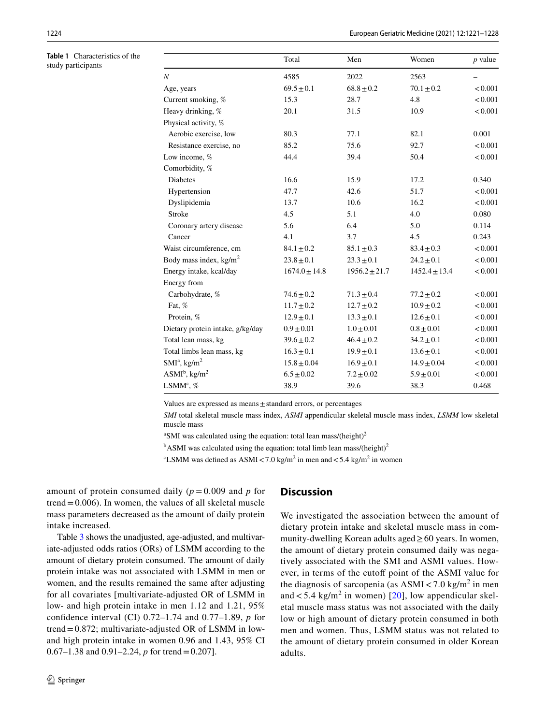<span id="page-3-0"></span>**Table 1** Characteristics of the study participants

|                                  | Total             | Men               | Women             | $p$ value |
|----------------------------------|-------------------|-------------------|-------------------|-----------|
| N                                | 4585              | 2022              | 2563              |           |
| Age, years                       | $69.5 \pm 0.1$    | $68.8 \pm 0.2$    | $70.1 \pm 0.2$    | < 0.001   |
| Current smoking, %               | 15.3              | 28.7              | 4.8               | < 0.001   |
| Heavy drinking, %                | 20.1              | 31.5              | 10.9              | < 0.001   |
| Physical activity, %             |                   |                   |                   |           |
| Aerobic exercise, low            | 80.3              | 77.1              | 82.1              | 0.001     |
| Resistance exercise, no          | 85.2              | 75.6              | 92.7              | < 0.001   |
| Low income, %                    | 44.4              | 39.4              | 50.4              | < 0.001   |
| Comorbidity, %                   |                   |                   |                   |           |
| <b>Diabetes</b>                  | 16.6              | 15.9              | 17.2              | 0.340     |
| Hypertension                     | 47.7              | 42.6              | 51.7              | < 0.001   |
| Dyslipidemia                     | 13.7              | 10.6              | 16.2              | < 0.001   |
| <b>Stroke</b>                    | 4.5               | 5.1               | 4.0               | 0.080     |
| Coronary artery disease          | 5.6               | 6.4               | 5.0               | 0.114     |
| Cancer                           | 4.1               | 3.7               | 4.5               | 0.243     |
| Waist circumference, cm          | $84.1 \pm 0.2$    | $85.1 \pm 0.3$    | $83.4 \pm 0.3$    | < 0.001   |
| Body mass index, $kg/m2$         | $23.8 \pm 0.1$    | $23.3 \pm 0.1$    | $24.2 \pm 0.1$    | < 0.001   |
| Energy intake, kcal/day          | $1674.0 \pm 14.8$ | $1956.2 \pm 21.7$ | $1452.4 \pm 13.4$ | < 0.001   |
| Energy from                      |                   |                   |                   |           |
| Carbohydrate, %                  | $74.6 \pm 0.2$    | $71.3 \pm 0.4$    | $77.2 \pm 0.2$    | < 0.001   |
| Fat, %                           | $11.7 \pm 0.2$    | $12.7 \pm 0.2$    | $10.9 \pm 0.2$    | < 0.001   |
| Protein, %                       | $12.9 \pm 0.1$    | $13.3 \pm 0.1$    | $12.6 \pm 0.1$    | < 0.001   |
| Dietary protein intake, g/kg/day | $0.9 \pm 0.01$    | $1.0 \pm 0.01$    | $0.8 \pm 0.01$    | < 0.001   |
| Total lean mass, kg              | $39.6 \pm 0.2$    | $46.4 \pm 0.2$    | $34.2 \pm 0.1$    | < 0.001   |
| Total limbs lean mass, kg        | $16.3 \pm 0.1$    | $19.9 \pm 0.1$    | $13.6 \pm 0.1$    | < 0.001   |
| $SMI^a$ , kg/m <sup>2</sup>      | $15.8 \pm 0.04$   | $16.9 \pm 0.1$    | $14.9 \pm 0.04$   | < 0.001   |
| $ASMI^b$ , kg/m <sup>2</sup>     | $6.5 \pm 0.02$    | $7.2 \pm 0.02$    | $5.9 \pm 0.01$    | < 0.001   |
| LSMM <sup>c</sup> , %            | 38.9              | 39.6              | 38.3              | 0.468     |

Values are expressed as means±standard errors, or percentages

*SMI* total skeletal muscle mass index, *ASMI* appendicular skeletal muscle mass index, *LSMM* low skeletal muscle mass

 $\mathrm{a}$ SMI was calculated using the equation: total lean mass/(height)<sup>2</sup>

 $<sup>b</sup>$ ASMI was calculated using the equation: total limb lean mass/(height)<sup>2</sup></sup>

<sup>c</sup>LSMM was defined as ASMI<7.0 kg/m<sup>2</sup> in men and <5.4 kg/m<sup>2</sup> in women

amount of protein consumed daily  $(p = 0.009$  and *p* for trend  $= 0.006$ ). In women, the values of all skeletal muscle mass parameters decreased as the amount of daily protein intake increased.

Table [3](#page-4-1) shows the unadjusted, age-adjusted, and multivariate-adjusted odds ratios (ORs) of LSMM according to the amount of dietary protein consumed. The amount of daily protein intake was not associated with LSMM in men or women, and the results remained the same after adjusting for all covariates [multivariate-adjusted OR of LSMM in low- and high protein intake in men 1.12 and 1.21, 95% confdence interval (CI) 0.72–1.74 and 0.77–1.89, *p* for trend=0.872; multivariate-adjusted OR of LSMM in lowand high protein intake in women 0.96 and 1.43, 95% CI 0.67–1.38 and 0.91–2.24, *p* for trend=0.207].

## **Discussion**

We investigated the association between the amount of dietary protein intake and skeletal muscle mass in community-dwelling Korean adults aged≥60 years. In women, the amount of dietary protein consumed daily was negatively associated with the SMI and ASMI values. However, in terms of the cutoff point of the ASMI value for the diagnosis of sarcopenia (as  $\text{ASM} < 7.0 \text{ kg/m}^2$  in men and  $<$  5.4 kg/m<sup>2</sup> in women) [[20](#page-6-15)], low appendicular skeletal muscle mass status was not associated with the daily low or high amount of dietary protein consumed in both men and women. Thus, LSMM status was not related to the amount of dietary protein consumed in older Korean adults.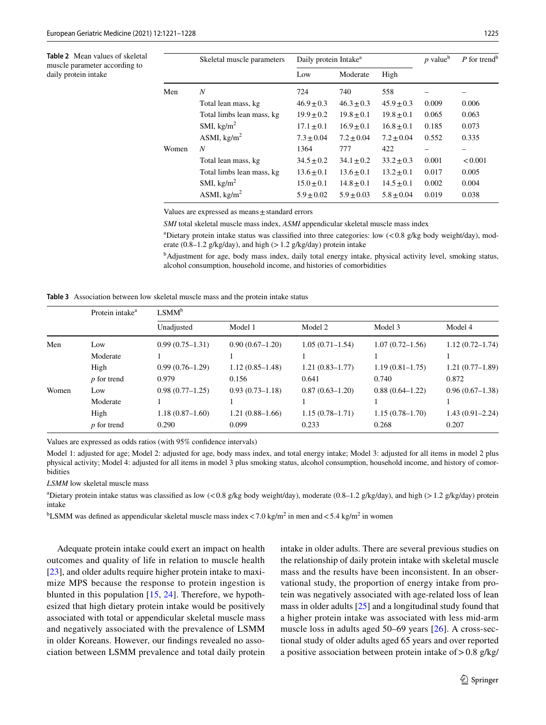<span id="page-4-0"></span>**Table 2** Mean values of skeletal muscle parameter according to daily protein intake

|       | Skeletal muscle parameters | Daily protein Intake <sup>a</sup> |                |                | $p$ value <sup>b</sup> | P for trend <sup>b</sup> |
|-------|----------------------------|-----------------------------------|----------------|----------------|------------------------|--------------------------|
|       |                            | Low                               | Moderate       | High           |                        |                          |
| Men   | N                          | 724                               | 740            | 558            |                        |                          |
|       | Total lean mass, kg        | $46.9 \pm 0.3$                    | $46.3 \pm 0.3$ | $45.9 \pm 0.3$ | 0.009                  | 0.006                    |
|       | Total limbs lean mass, kg  | $19.9 \pm 0.2$                    | $19.8 + 0.1$   | $19.8 \pm 0.1$ | 0.065                  | 0.063                    |
|       | SMI, $\text{kg/m}^2$       | $17.1 \pm 0.1$                    | $16.9 + 0.1$   | $16.8 + 0.1$   | 0.185                  | 0.073                    |
|       | ASMI, $\text{kg/m}^2$      | $7.3 \pm 0.04$                    | $7.2 \pm 0.04$ | $7.2 \pm 0.04$ | 0.552                  | 0.335                    |
| Women | N                          | 1364                              | 777            | 422            |                        |                          |
|       | Total lean mass, kg        | $34.5 \pm 0.2$                    | $34.1 \pm 0.2$ | $33.2 \pm 0.3$ | 0.001                  | < 0.001                  |
|       | Total limbs lean mass, kg  | $13.6 \pm 0.1$                    | $13.6 \pm 0.1$ | $13.2 \pm 0.1$ | 0.017                  | 0.005                    |
|       | SMI, $\text{kg/m}^2$       | $15.0 \pm 0.1$                    | $14.8 \pm 0.1$ | $14.5 \pm 0.1$ | 0.002                  | 0.004                    |
|       | ASMI, $\text{kg/m}^2$      | $5.9 \pm 0.02$                    | $5.9 \pm 0.03$ | $5.8 \pm 0.04$ | 0.019                  | 0.038                    |

Values are expressed as means $\pm$ standard errors

*SMI* total skeletal muscle mass index, *ASMI* appendicular skeletal muscle mass index

<sup>a</sup>Dietary protein intake status was classified into three categories: low (<0.8 g/kg body weight/day), moderate (0.8–1.2 g/kg/day), and high ( $> 1.2$  g/kg/day) protein intake

b Adjustment for age, body mass index, daily total energy intake, physical activity level, smoking status, alcohol consumption, household income, and histories of comorbidities

<span id="page-4-1"></span>**Table 3** Association between low skeletal muscle mass and the protein intake status

|       | Protein intake <sup>a</sup> | $LSMM^b$          |                     |                     |                     |                     |  |  |
|-------|-----------------------------|-------------------|---------------------|---------------------|---------------------|---------------------|--|--|
|       |                             | Unadjusted        | Model 1             | Model 2             | Model 3             | Model 4             |  |  |
| Men   | Low                         | $0.99(0.75-1.31)$ | $0.90(0.67-1.20)$   | $1.05(0.71 - 1.54)$ | $1.07(0.72 - 1.56)$ | $1.12(0.72 - 1.74)$ |  |  |
|       | Moderate                    |                   |                     |                     |                     |                     |  |  |
|       | High                        | $0.99(0.76-1.29)$ | $1.12(0.85-1.48)$   | $1.21(0.83 - 1.77)$ | $1.19(0.81 - 1.75)$ | $1.21(0.77-1.89)$   |  |  |
|       | $p$ for trend               | 0.979             | 0.156               | 0.641               | 0.740               | 0.872               |  |  |
| Women | Low                         | $0.98(0.77-1.25)$ | $0.93(0.73 - 1.18)$ | $0.87(0.63-1.20)$   | $0.88(0.64 - 1.22)$ | $0.96(0.67-1.38)$   |  |  |
|       | Moderate                    |                   |                     |                     |                     |                     |  |  |
|       | High                        | $1.18(0.87-1.60)$ | $1.21(0.88-1.66)$   | $1.15(0.78 - 1.71)$ | $1.15(0.78 - 1.70)$ | $1.43(0.91 - 2.24)$ |  |  |
|       | <i>p</i> for trend          | 0.290             | 0.099               | 0.233               | 0.268               | 0.207               |  |  |

Values are expressed as odds ratios (with 95% confdence intervals)

Model 1: adjusted for age; Model 2: adjusted for age, body mass index, and total energy intake; Model 3: adjusted for all items in model 2 plus physical activity; Model 4: adjusted for all items in model 3 plus smoking status, alcohol consumption, household income, and history of comorbidities

*LSMM* low skeletal muscle mass

<sup>a</sup>Dietary protein intake status was classified as low  $\langle$  <0.8 g/kg body weight/day), moderate (0.8–1.2 g/kg/day), and high (>1.2 g/kg/day) protein intake

<sup>b</sup>LSMM was defined as appendicular skeletal muscle mass index <7.0 kg/m<sup>2</sup> in men and <5.4 kg/m<sup>2</sup> in women

Adequate protein intake could exert an impact on health outcomes and quality of life in relation to muscle health [\[23](#page-7-0)], and older adults require higher protein intake to maximize MPS because the response to protein ingestion is blunted in this population [\[15](#page-6-10), [24\]](#page-7-1). Therefore, we hypothesized that high dietary protein intake would be positively associated with total or appendicular skeletal muscle mass and negatively associated with the prevalence of LSMM in older Koreans. However, our fndings revealed no association between LSMM prevalence and total daily protein intake in older adults. There are several previous studies on the relationship of daily protein intake with skeletal muscle mass and the results have been inconsistent. In an observational study, the proportion of energy intake from protein was negatively associated with age-related loss of lean mass in older adults [[25\]](#page-7-2) and a longitudinal study found that a higher protein intake was associated with less mid-arm muscle loss in adults aged 50–69 years [[26\]](#page-7-3). A cross-sectional study of older adults aged 65 years and over reported a positive association between protein intake of  $> 0.8$  g/kg/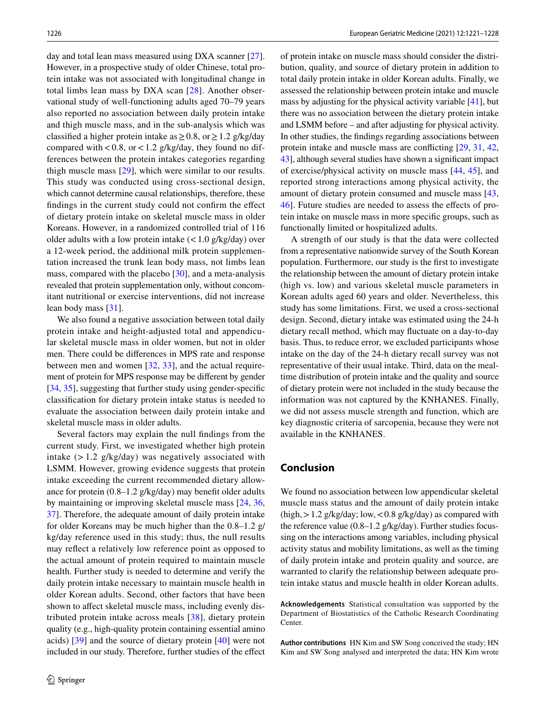day and total lean mass measured using DXA scanner [\[27](#page-7-4)]. However, in a prospective study of older Chinese, total protein intake was not associated with longitudinal change in total limbs lean mass by DXA scan [[28](#page-7-5)]. Another observational study of well-functioning adults aged 70–79 years also reported no association between daily protein intake and thigh muscle mass, and in the sub-analysis which was classified a higher protein intake as  $\geq 0.8$ , or  $\geq 1.2$  g/kg/day compared with  $< 0.8$ , or  $< 1.2$  g/kg/day, they found no differences between the protein intakes categories regarding thigh muscle mass [[29](#page-7-6)], which were similar to our results. This study was conducted using cross-sectional design, which cannot determine causal relationships, therefore, these fndings in the current study could not confrm the efect of dietary protein intake on skeletal muscle mass in older Koreans. However, in a randomized controlled trial of 116 older adults with a low protein intake  $\left($  < 1.0 g/kg/day) over a 12-week period, the additional milk protein supplementation increased the trunk lean body mass, not limbs lean mass, compared with the placebo [\[30](#page-7-7)], and a meta-analysis revealed that protein supplementation only, without concomitant nutritional or exercise interventions, did not increase lean body mass [[31](#page-7-8)].

We also found a negative association between total daily protein intake and height-adjusted total and appendicular skeletal muscle mass in older women, but not in older men. There could be diferences in MPS rate and response between men and women [[32,](#page-7-9) [33\]](#page-7-10), and the actual requirement of protein for MPS response may be diferent by gender [\[34](#page-7-11), [35](#page-7-12)], suggesting that further study using gender-specific classifcation for dietary protein intake status is needed to evaluate the association between daily protein intake and skeletal muscle mass in older adults.

Several factors may explain the null fndings from the current study. First, we investigated whether high protein intake  $(> 1.2 \text{ g/kg/day})$  was negatively associated with LSMM. However, growing evidence suggests that protein intake exceeding the current recommended dietary allowance for protein (0.8–1.2 g/kg/day) may beneft older adults by maintaining or improving skeletal muscle mass [\[24](#page-7-1), [36,](#page-7-13) [37](#page-7-14)]. Therefore, the adequate amount of daily protein intake for older Koreans may be much higher than the 0.8–1.2 g/ kg/day reference used in this study; thus, the null results may refect a relatively low reference point as opposed to the actual amount of protein required to maintain muscle health. Further study is needed to determine and verify the daily protein intake necessary to maintain muscle health in older Korean adults. Second, other factors that have been shown to affect skeletal muscle mass, including evenly distributed protein intake across meals [[38](#page-7-15)], dietary protein quality (e.g., high-quality protein containing essential amino acids) [[39\]](#page-7-16) and the source of dietary protein [[40\]](#page-7-17) were not included in our study. Therefore, further studies of the efect of protein intake on muscle mass should consider the distribution, quality, and source of dietary protein in addition to total daily protein intake in older Korean adults. Finally, we assessed the relationship between protein intake and muscle mass by adjusting for the physical activity variable [\[41](#page-7-18)], but there was no association between the dietary protein intake and LSMM before – and after adjusting for physical activity. In other studies, the fndings regarding associations between protein intake and muscle mass are conficting [[29](#page-7-6), [31](#page-7-8), [42,](#page-7-19) [43](#page-7-20)], although several studies have shown a signifcant impact of exercise/physical activity on muscle mass [[44](#page-7-21), [45\]](#page-7-22), and reported strong interactions among physical activity, the amount of dietary protein consumed and muscle mass [[43,](#page-7-20) [46](#page-7-23)]. Future studies are needed to assess the efects of protein intake on muscle mass in more specifc groups, such as functionally limited or hospitalized adults.

A strength of our study is that the data were collected from a representative nationwide survey of the South Korean population. Furthermore, our study is the frst to investigate the relationship between the amount of dietary protein intake (high vs. low) and various skeletal muscle parameters in Korean adults aged 60 years and older. Nevertheless, this study has some limitations. First, we used a cross-sectional design. Second, dietary intake was estimated using the 24-h dietary recall method, which may fuctuate on a day-to-day basis. Thus, to reduce error, we excluded participants whose intake on the day of the 24-h dietary recall survey was not representative of their usual intake. Third, data on the mealtime distribution of protein intake and the quality and source of dietary protein were not included in the study because the information was not captured by the KNHANES. Finally, we did not assess muscle strength and function, which are key diagnostic criteria of sarcopenia, because they were not available in the KNHANES.

# **Conclusion**

We found no association between low appendicular skeletal muscle mass status and the amount of daily protein intake (high,  $>1.2$  g/kg/day; low,  $< 0.8$  g/kg/day) as compared with the reference value  $(0.8-1.2 \text{ g/kg/day})$ . Further studies focussing on the interactions among variables, including physical activity status and mobility limitations, as well as the timing of daily protein intake and protein quality and source, are warranted to clarify the relationship between adequate protein intake status and muscle health in older Korean adults.

**Acknowledgements** Statistical consultation was supported by the Department of Biostatistics of the Catholic Research Coordinating Center.

**Author contributions** HN Kim and SW Song conceived the study; HN Kim and SW Song analysed and interpreted the data; HN Kim wrote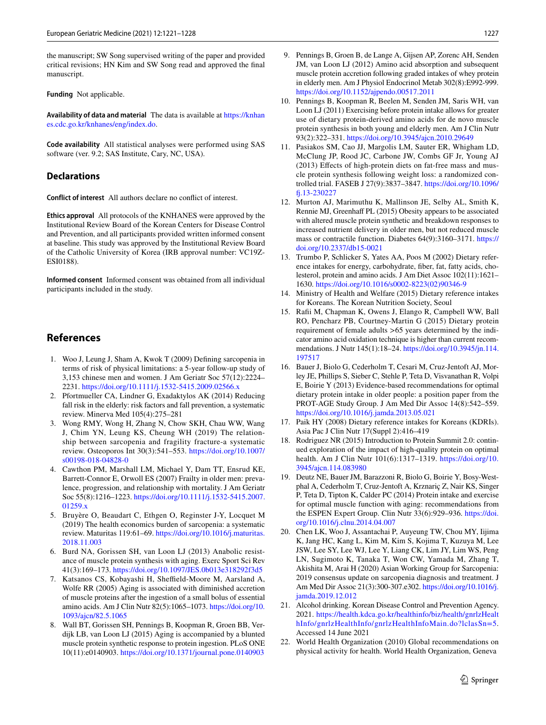the manuscript; SW Song supervised writing of the paper and provided critical revisions; HN Kim and SW Song read and approved the fnal manuscript.

**Funding** Not applicable.

**Availability of data and material** The data is available at [https://knhan](https://knhanes.cdc.go.kr/knhanes/eng/index.do) [es.cdc.go.kr/knhanes/eng/index.do.](https://knhanes.cdc.go.kr/knhanes/eng/index.do)

**Code availability** All statistical analyses were performed using SAS software (ver. 9.2; SAS Institute, Cary, NC, USA).

## **Declarations**

**Conflict of interest** All authors declare no confict of interest.

**Ethics approval** All protocols of the KNHANES were approved by the Institutional Review Board of the Korean Centers for Disease Control and Prevention, and all participants provided written informed consent at baseline. This study was approved by the Institutional Review Board of the Catholic University of Korea (IRB approval number: VC19Z-ESI0188).

**Informed consent** Informed consent was obtained from all individual participants included in the study.

# **References**

- <span id="page-6-0"></span>1. Woo J, Leung J, Sham A, Kwok T (2009) Defning sarcopenia in terms of risk of physical limitations: a 5-year follow-up study of 3,153 chinese men and women. J Am Geriatr Soc 57(12):2224– 2231.<https://doi.org/10.1111/j.1532-5415.2009.02566.x>
- 2. Pfortmueller CA, Lindner G, Exadaktylos AK (2014) Reducing fall risk in the elderly: risk factors and fall prevention, a systematic review. Minerva Med 105(4):275–281
- 3. Wong RMY, Wong H, Zhang N, Chow SKH, Chau WW, Wang J, Chim YN, Leung KS, Cheung WH (2019) The relationship between sarcopenia and fragility fracture-a systematic review. Osteoporos Int 30(3):541–553. [https://doi.org/10.1007/](https://doi.org/10.1007/s00198-018-04828-0) [s00198-018-04828-0](https://doi.org/10.1007/s00198-018-04828-0)
- <span id="page-6-1"></span>4. Cawthon PM, Marshall LM, Michael Y, Dam TT, Ensrud KE, Barrett-Connor E, Orwoll ES (2007) Frailty in older men: prevalence, progression, and relationship with mortality. J Am Geriatr Soc 55(8):1216–1223. [https://doi.org/10.1111/j.1532-5415.2007.](https://doi.org/10.1111/j.1532-5415.2007.01259.x) [01259.x](https://doi.org/10.1111/j.1532-5415.2007.01259.x)
- <span id="page-6-2"></span>5. Bruyère O, Beaudart C, Ethgen O, Reginster J-Y, Locquet M (2019) The health economics burden of sarcopenia: a systematic review. Maturitas 119:61–69. [https://doi.org/10.1016/j.maturitas.](https://doi.org/10.1016/j.maturitas.2018.11.003) [2018.11.003](https://doi.org/10.1016/j.maturitas.2018.11.003)
- <span id="page-6-3"></span>6. Burd NA, Gorissen SH, van Loon LJ (2013) Anabolic resistance of muscle protein synthesis with aging. Exerc Sport Sci Rev 41(3):169–173.<https://doi.org/10.1097/JES.0b013e318292f3d5>
- <span id="page-6-4"></span>7. Katsanos CS, Kobayashi H, Sheffield-Moore M, Aarsland A, Wolfe RR (2005) Aging is associated with diminished accretion of muscle proteins after the ingestion of a small bolus of essential amino acids. Am J Clin Nutr 82(5):1065–1073. [https://doi.org/10.](https://doi.org/10.1093/ajcn/82.5.1065) [1093/ajcn/82.5.1065](https://doi.org/10.1093/ajcn/82.5.1065)
- <span id="page-6-5"></span>8. Wall BT, Gorissen SH, Pennings B, Koopman R, Groen BB, Verdijk LB, van Loon LJ (2015) Aging is accompanied by a blunted muscle protein synthetic response to protein ingestion. PLoS ONE 10(11):e0140903.<https://doi.org/10.1371/journal.pone.0140903>
- <span id="page-6-6"></span>9. Pennings B, Groen B, de Lange A, Gijsen AP, Zorenc AH, Senden JM, van Loon LJ (2012) Amino acid absorption and subsequent muscle protein accretion following graded intakes of whey protein in elderly men. Am J Physiol Endocrinol Metab 302(8):E992-999. <https://doi.org/10.1152/ajpendo.00517.2011>
- 10. Pennings B, Koopman R, Beelen M, Senden JM, Saris WH, van Loon LJ (2011) Exercising before protein intake allows for greater use of dietary protein-derived amino acids for de novo muscle protein synthesis in both young and elderly men. Am J Clin Nutr 93(2):322–331.<https://doi.org/10.3945/ajcn.2010.29649>
- 11. Pasiakos SM, Cao JJ, Margolis LM, Sauter ER, Whigham LD, McClung JP, Rood JC, Carbone JW, Combs GF Jr, Young AJ (2013) Efects of high-protein diets on fat-free mass and muscle protein synthesis following weight loss: a randomized controlled trial. FASEB J 27(9):3837–3847. [https://doi.org/10.1096/](https://doi.org/10.1096/fj.13-230227) [f.13-230227](https://doi.org/10.1096/fj.13-230227)
- <span id="page-6-7"></span>12. Murton AJ, Marimuthu K, Mallinson JE, Selby AL, Smith K, Rennie MJ, Greenhaff PL (2015) Obesity appears to be associated with altered muscle protein synthetic and breakdown responses to increased nutrient delivery in older men, but not reduced muscle mass or contractile function. Diabetes 64(9):3160–3171. [https://](https://doi.org/10.2337/db15-0021) [doi.org/10.2337/db15-0021](https://doi.org/10.2337/db15-0021)
- <span id="page-6-8"></span>13. Trumbo P, Schlicker S, Yates AA, Poos M (2002) Dietary reference intakes for energy, carbohydrate, fber, fat, fatty acids, cholesterol, protein and amino acids. J Am Diet Assoc 102(11):1621– 1630. [https://doi.org/10.1016/s0002-8223\(02\)90346-9](https://doi.org/10.1016/s0002-8223(02)90346-9)
- <span id="page-6-9"></span>14. Ministry of Health and Welfare (2015) Dietary reference intakes for Koreans. The Korean Nutrition Society, Seoul
- <span id="page-6-10"></span>15. Rafi M, Chapman K, Owens J, Elango R, Campbell WW, Ball RO, Pencharz PB, Courtney-Martin G (2015) Dietary protein requirement of female adults >65 years determined by the indicator amino acid oxidation technique is higher than current recommendations. J Nutr 145(1):18–24. [https://doi.org/10.3945/jn.114.](https://doi.org/10.3945/jn.114.197517) [197517](https://doi.org/10.3945/jn.114.197517)
- <span id="page-6-11"></span>16. Bauer J, Biolo G, Cederholm T, Cesari M, Cruz-Jentoft AJ, Morley JE, Phillips S, Sieber C, Stehle P, Teta D, Visvanathan R, Volpi E, Boirie Y (2013) Evidence-based recommendations for optimal dietary protein intake in older people: a position paper from the PROT-AGE Study Group. J Am Med Dir Assoc 14(8):542–559. <https://doi.org/10.1016/j.jamda.2013.05.021>
- <span id="page-6-12"></span>17. Paik HY (2008) Dietary reference intakes for Koreans (KDRIs). Asia Pac J Clin Nutr 17(Suppl 2):416–419
- <span id="page-6-13"></span>18. Rodriguez NR (2015) Introduction to Protein Summit 2.0: continued exploration of the impact of high-quality protein on optimal health. Am J Clin Nutr 101(6):1317–1319. [https://doi.org/10.](https://doi.org/10.3945/ajcn.114.083980) [3945/ajcn.114.083980](https://doi.org/10.3945/ajcn.114.083980)
- <span id="page-6-14"></span>19. Deutz NE, Bauer JM, Barazzoni R, Biolo G, Boirie Y, Bosy-Westphal A, Cederholm T, Cruz-Jentoft A, Krznariç Z, Nair KS, Singer P, Teta D, Tipton K, Calder PC (2014) Protein intake and exercise for optimal muscle function with aging: recommendations from the ESPEN Expert Group. Clin Nutr 33(6):929–936. [https://doi.](https://doi.org/10.1016/j.clnu.2014.04.007) [org/10.1016/j.clnu.2014.04.007](https://doi.org/10.1016/j.clnu.2014.04.007)
- <span id="page-6-15"></span>20. Chen LK, Woo J, Assantachai P, Auyeung TW, Chou MY, Iijima K, Jang HC, Kang L, Kim M, Kim S, Kojima T, Kuzuya M, Lee JSW, Lee SY, Lee WJ, Lee Y, Liang CK, Lim JY, Lim WS, Peng LN, Sugimoto K, Tanaka T, Won CW, Yamada M, Zhang T, Akishita M, Arai H (2020) Asian Working Group for Sarcopenia: 2019 consensus update on sarcopenia diagnosis and treatment. J Am Med Dir Assoc 21(3):300-307.e302. [https://doi.org/10.1016/j.](https://doi.org/10.1016/j.jamda.2019.12.012) [jamda.2019.12.012](https://doi.org/10.1016/j.jamda.2019.12.012)
- <span id="page-6-16"></span>21. Alcohol drinking. Korean Disease Control and Prevention Agency. 2021. [https://health.kdca.go.kr/healthinfo/biz/health/gnrlzHealt](https://health.kdca.go.kr/healthinfo/biz/health/gnrlzHealthInfo/gnrlzHealthInfo/gnrlzHealthInfoMain.do?lclasSn=5) [hInfo/gnrlzHealthInfo/gnrlzHealthInfoMain.do?lclasSn=5](https://health.kdca.go.kr/healthinfo/biz/health/gnrlzHealthInfo/gnrlzHealthInfo/gnrlzHealthInfoMain.do?lclasSn=5). Accessed 14 June 2021
- <span id="page-6-17"></span>22. World Health Organization (2010) Global recommendations on physical activity for health. World Health Organization, Geneva